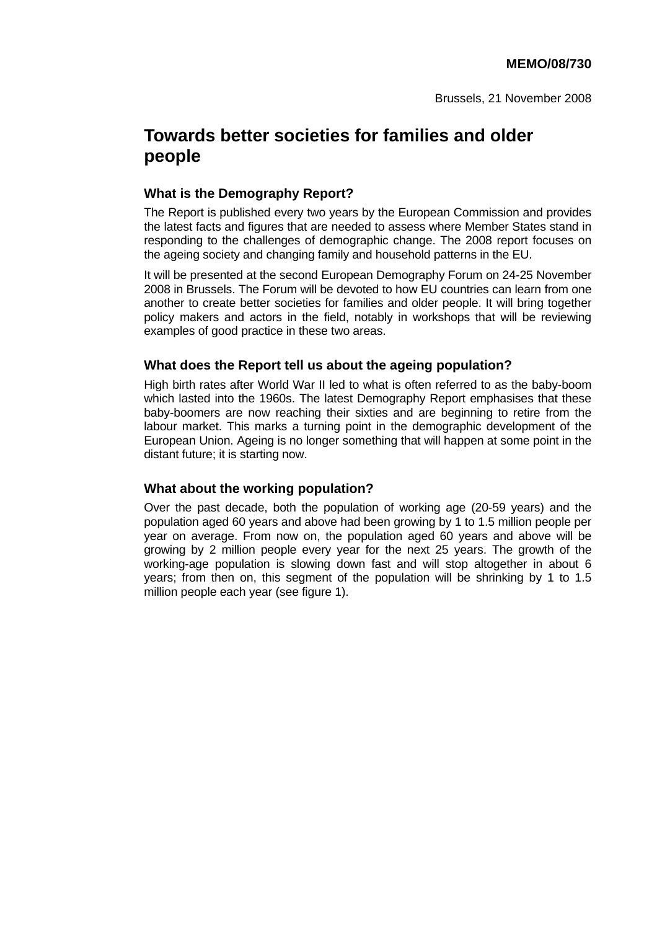# **Towards better societies for families and older people**

### **What is the Demography Report?**

The Report is published every two years by the European Commission and provides the latest facts and figures that are needed to assess where Member States stand in responding to the challenges of demographic change. The 2008 report focuses on the ageing society and changing family and household patterns in the EU.

It will be presented at the second European Demography Forum on 24-25 November 2008 in Brussels. The Forum will be devoted to how EU countries can learn from one another to create better societies for families and older people. It will bring together policy makers and actors in the field, notably in workshops that will be reviewing examples of good practice in these two areas.

#### **What does the Report tell us about the ageing population?**

High birth rates after World War II led to what is often referred to as the baby-boom which lasted into the 1960s. The latest Demography Report emphasises that these baby-boomers are now reaching their sixties and are beginning to retire from the labour market. This marks a turning point in the demographic development of the European Union. Ageing is no longer something that will happen at some point in the distant future; it is starting now.

### **What about the working population?**

Over the past decade, both the population of working age (20-59 years) and the population aged 60 years and above had been growing by 1 to 1.5 million people per year on average. From now on, the population aged 60 years and above will be growing by 2 million people every year for the next 25 years. The growth of the working-age population is slowing down fast and will stop altogether in about 6 years; from then on, this segment of the population will be shrinking by 1 to 1.5 million people each year (see figure 1).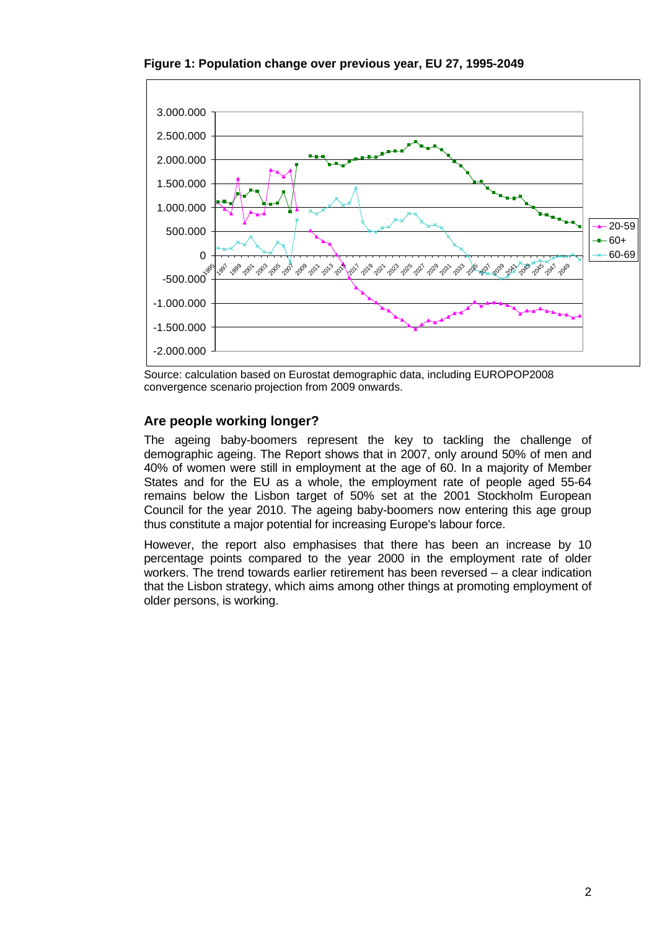**Figure 1: Population change over previous year, EU 27, 1995-2049** 



Source: calculation based on Eurostat demographic data, including EUROPOP2008 convergence scenario projection from 2009 onwards.

# **Are people working longer?**

The ageing baby-boomers represent the key to tackling the challenge of demographic ageing. The Report shows that in 2007, only around 50% of men and 40% of women were still in employment at the age of 60. In a majority of Member States and for the EU as a whole, the employment rate of people aged 55-64 remains below the Lisbon target of 50% set at the 2001 Stockholm European Council for the year 2010. The ageing baby-boomers now entering this age group thus constitute a major potential for increasing Europe's labour force.

However, the report also emphasises that there has been an increase by 10 percentage points compared to the year 2000 in the employment rate of older workers. The trend towards earlier retirement has been reversed – a clear indication that the Lisbon strategy, which aims among other things at promoting employment of older persons, is working.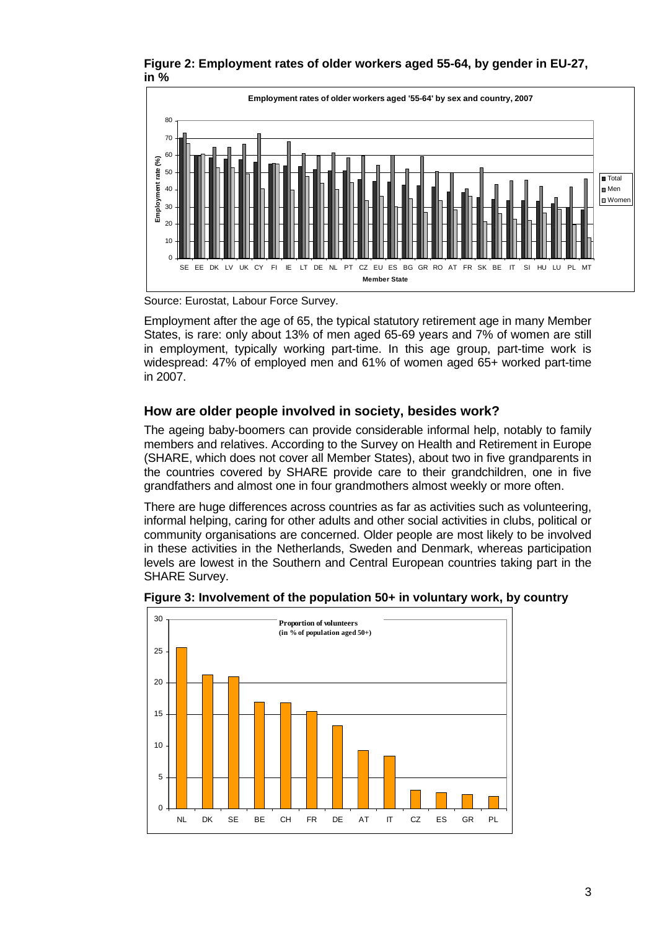**Figure 2: Employment rates of older workers aged 55-64, by gender in EU-27, in %** 



Source: Eurostat, Labour Force Survey.

Employment after the age of 65, the typical statutory retirement age in many Member States, is rare: only about 13% of men aged 65-69 years and 7% of women are still in employment, typically working part-time. In this age group, part-time work is widespread: 47% of employed men and 61% of women aged 65+ worked part-time in 2007.

# **How are older people involved in society, besides work?**

The ageing baby-boomers can provide considerable informal help, notably to family members and relatives. According to the Survey on Health and Retirement in Europe (SHARE, which does not cover all Member States), about two in five grandparents in the countries covered by SHARE provide care to their grandchildren, one in five grandfathers and almost one in four grandmothers almost weekly or more often.

There are huge differences across countries as far as activities such as volunteering, informal helping, caring for other adults and other social activities in clubs, political or community organisations are concerned. Older people are most likely to be involved in these activities in the Netherlands, Sweden and Denmark, whereas participation levels are lowest in the Southern and Central European countries taking part in the SHARE Survey.



**Figure 3: Involvement of the population 50+ in voluntary work, by country**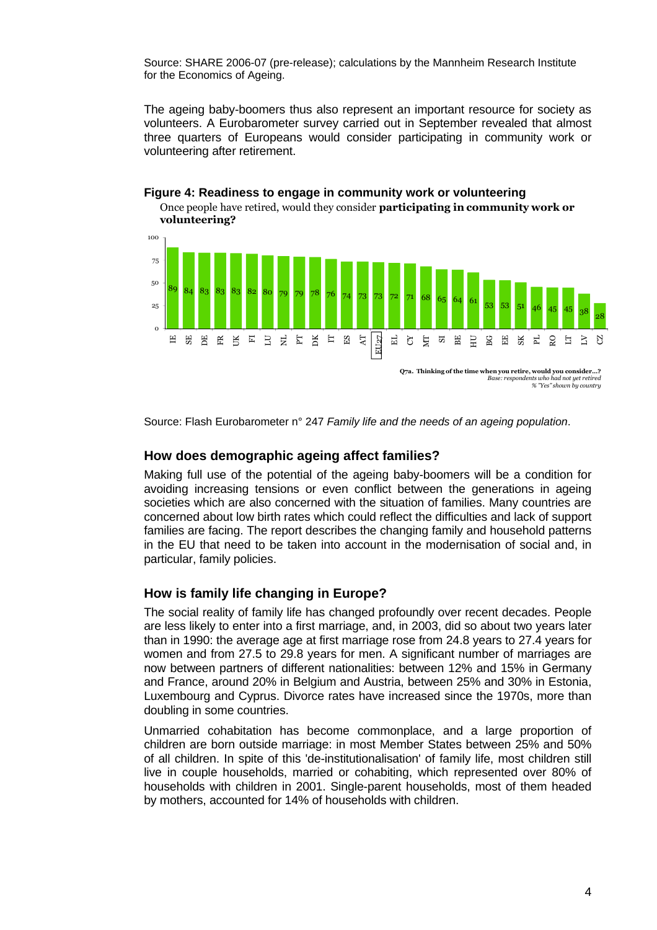Source: SHARE 2006-07 (pre-release); calculations by the Mannheim Research Institute for the Economics of Ageing.

The ageing baby-boomers thus also represent an important resource for society as volunteers. A Eurobarometer survey carried out in September revealed that almost three quarters of Europeans would consider participating in community work or volunteering after retirement.



# **Figure 4: Readiness to engage in community work or volunteering**

Once people have retired, would they consider **participating in community work or** 

Source: Flash Eurobarometer n° 247 *Family life and the needs of an ageing population*.

### **How does demographic ageing affect families?**

Making full use of the potential of the ageing baby-boomers will be a condition for avoiding increasing tensions or even conflict between the generations in ageing societies which are also concerned with the situation of families. Many countries are concerned about low birth rates which could reflect the difficulties and lack of support families are facing. The report describes the changing family and household patterns in the EU that need to be taken into account in the modernisation of social and, in particular, family policies.

# **How is family life changing in Europe?**

The social reality of family life has changed profoundly over recent decades. People are less likely to enter into a first marriage, and, in 2003, did so about two years later than in 1990: the average age at first marriage rose from 24.8 years to 27.4 years for women and from 27.5 to 29.8 years for men. A significant number of marriages are now between partners of different nationalities: between 12% and 15% in Germany and France, around 20% in Belgium and Austria, between 25% and 30% in Estonia, Luxembourg and Cyprus. Divorce rates have increased since the 1970s, more than doubling in some countries.

Unmarried cohabitation has become commonplace, and a large proportion of children are born outside marriage: in most Member States between 25% and 50% of all children. In spite of this 'de-institutionalisation' of family life, most children still live in couple households, married or cohabiting, which represented over 80% of households with children in 2001. Single-parent households, most of them headed by mothers, accounted for 14% of households with children.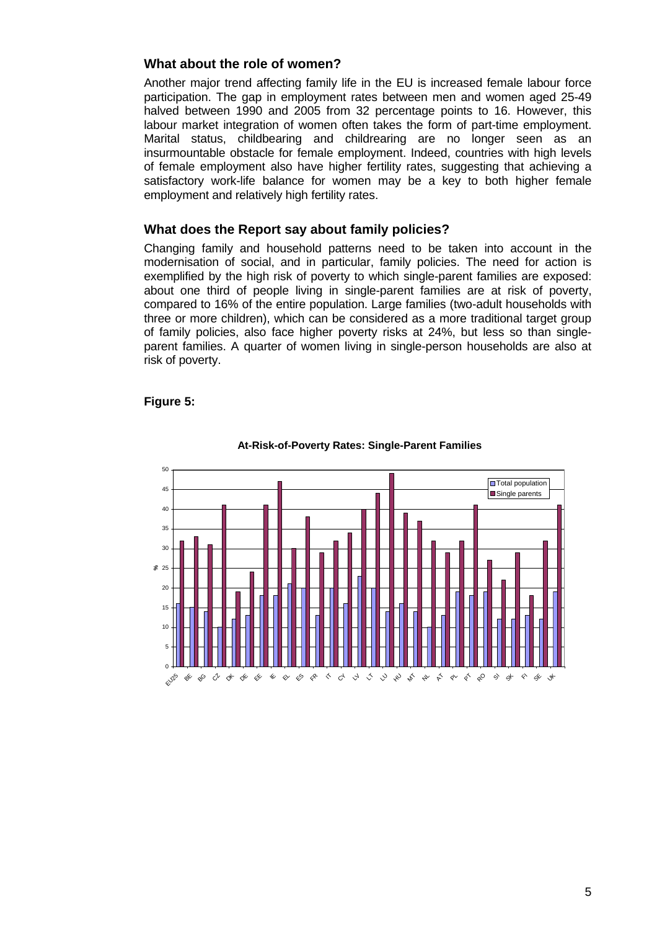## **What about the role of women?**

Another major trend affecting family life in the EU is increased female labour force participation. The gap in employment rates between men and women aged 25-49 halved between 1990 and 2005 from 32 percentage points to 16. However, this labour market integration of women often takes the form of part-time employment. Marital status, childbearing and childrearing are no longer seen as an insurmountable obstacle for female employment. Indeed, countries with high levels of female employment also have higher fertility rates, suggesting that achieving a satisfactory work-life balance for women may be a key to both higher female employment and relatively high fertility rates.

### **What does the Report say about family policies?**

Changing family and household patterns need to be taken into account in the modernisation of social, and in particular, family policies. The need for action is exemplified by the high risk of poverty to which single-parent families are exposed: about one third of people living in single-parent families are at risk of poverty, compared to 16% of the entire population. Large families (two-adult households with three or more children), which can be considered as a more traditional target group of family policies, also face higher poverty risks at 24%, but less so than singleparent families. A quarter of women living in single-person households are also at risk of poverty.

#### **Figure 5:**



#### **At-Risk-of-Poverty Rates: Single-Parent Families**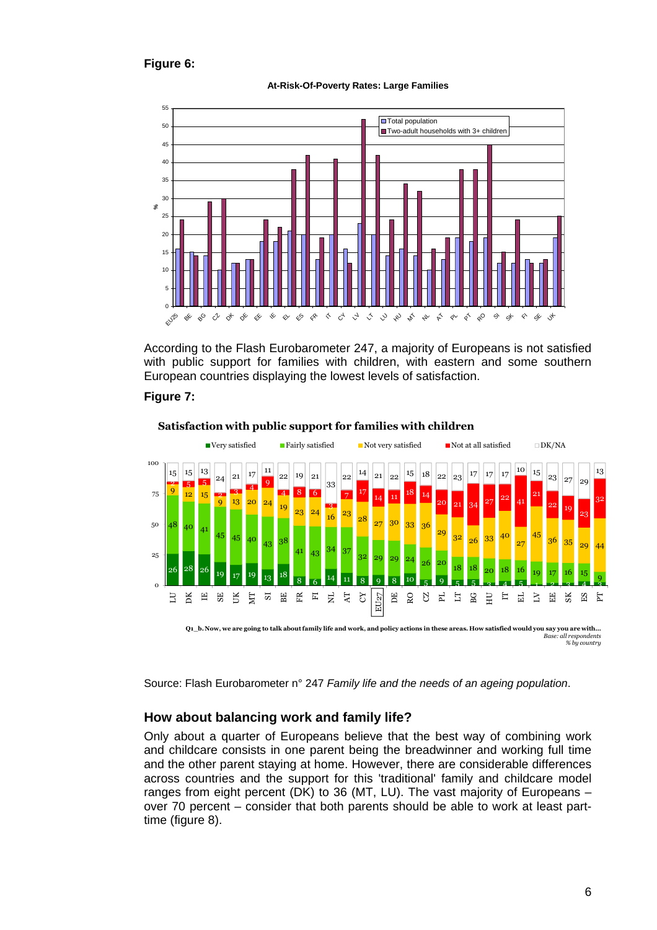### **Figure 6:**





According to the Flash Eurobarometer 247, a majority of Europeans is not satisfied with public support for families with children, with eastern and some southern European countries displaying the lowest levels of satisfaction.

#### **Figure 7:**



**Satisfaction with public support for families with children**

Source: Flash Eurobarometer n° 247 *Family life and the needs of an ageing population*.

### **How about balancing work and family life?**

Only about a quarter of Europeans believe that the best way of combining work and childcare consists in one parent being the breadwinner and working full time and the other parent staying at home. However, there are considerable differences across countries and the support for this 'traditional' family and childcare model ranges from eight percent (DK) to 36 (MT, LU). The vast majority of Europeans – over 70 percent – consider that both parents should be able to work at least parttime (figure 8).